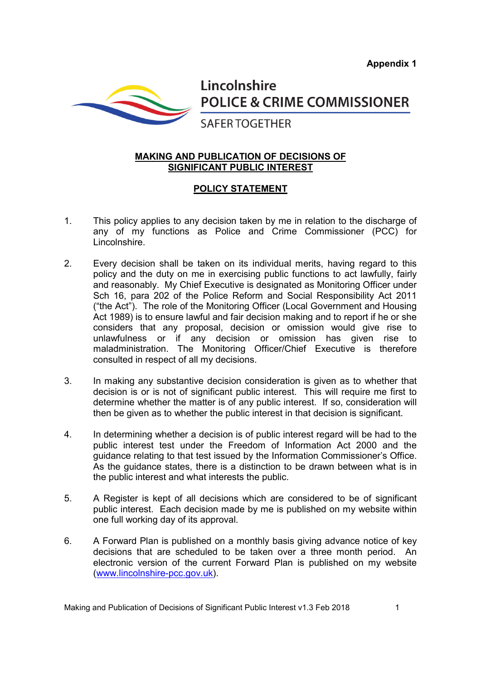

Lincolnshire **POLICE & CRIME COMMISSIONER** 

## **SAFER TOGETHER**

## **MAKING AND PUBLICATION OF DECISIONS OF SIGNIFICANT PUBLIC INTEREST**

## **POLICY STATEMENT**

- 1. This policy applies to any decision taken by me in relation to the discharge of any of my functions as Police and Crime Commissioner (PCC) for Lincolnshire.
- 2. Every decision shall be taken on its individual merits, having regard to this policy and the duty on me in exercising public functions to act lawfully, fairly and reasonably. My Chief Executive is designated as Monitoring Officer under Sch 16, para 202 of the Police Reform and Social Responsibility Act 2011 ("the Act"). The role of the Monitoring Officer (Local Government and Housing Act 1989) is to ensure lawful and fair decision making and to report if he or she considers that any proposal, decision or omission would give rise to unlawfulness or if any decision or omission has given rise to maladministration. The Monitoring Officer/Chief Executive is therefore consulted in respect of all my decisions.
- 3. In making any substantive decision consideration is given as to whether that decision is or is not of significant public interest. This will require me first to determine whether the matter is of any public interest. If so, consideration will then be given as to whether the public interest in that decision is significant.
- 4. In determining whether a decision is of public interest regard will be had to the public interest test under the Freedom of Information Act 2000 and the guidance relating to that test issued by the Information Commissioner's Office. As the guidance states, there is a distinction to be drawn between what is in the public interest and what interests the public.
- 5. A Register is kept of all decisions which are considered to be of significant public interest. Each decision made by me is published on my website within one full working day of its approval.
- 6. A Forward Plan is published on a monthly basis giving advance notice of key decisions that are scheduled to be taken over a three month period. An electronic version of the current Forward Plan is published on my website (www.lincolnshire-pcc.gov.uk).

Making and Publication of Decisions of Significant Public Interest v1.3 Feb 2018 1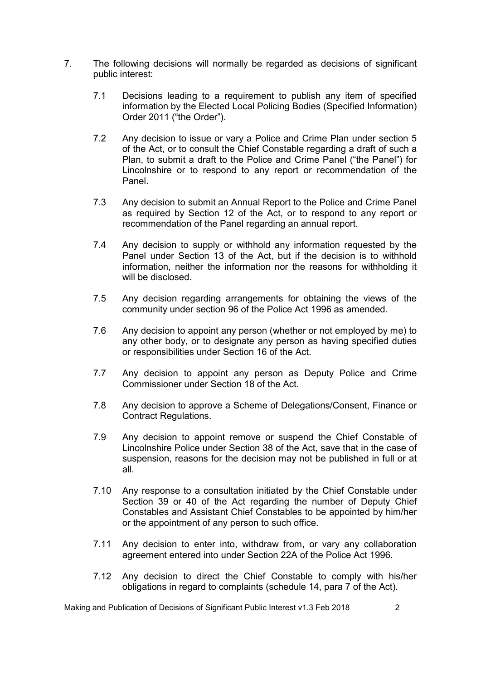- 7. The following decisions will normally be regarded as decisions of significant public interest:
	- 7.1 Decisions leading to a requirement to publish any item of specified information by the Elected Local Policing Bodies (Specified Information) Order 2011 ("the Order").
	- 7.2 Any decision to issue or vary a Police and Crime Plan under section 5 of the Act, or to consult the Chief Constable regarding a draft of such a Plan, to submit a draft to the Police and Crime Panel ("the Panel") for Lincolnshire or to respond to any report or recommendation of the Panel.
	- 7.3 Any decision to submit an Annual Report to the Police and Crime Panel as required by Section 12 of the Act, or to respond to any report or recommendation of the Panel regarding an annual report.
	- 7.4 Any decision to supply or withhold any information requested by the Panel under Section 13 of the Act, but if the decision is to withhold information, neither the information nor the reasons for withholding it will be disclosed.
	- 7.5 Any decision regarding arrangements for obtaining the views of the community under section 96 of the Police Act 1996 as amended.
	- 7.6 Any decision to appoint any person (whether or not employed by me) to any other body, or to designate any person as having specified duties or responsibilities under Section 16 of the Act.
	- 7.7 Any decision to appoint any person as Deputy Police and Crime Commissioner under Section 18 of the Act.
	- 7.8 Any decision to approve a Scheme of Delegations/Consent, Finance or Contract Regulations.
	- 7.9 Any decision to appoint remove or suspend the Chief Constable of Lincolnshire Police under Section 38 of the Act, save that in the case of suspension, reasons for the decision may not be published in full or at all.
	- 7.10 Any response to a consultation initiated by the Chief Constable under Section 39 or 40 of the Act regarding the number of Deputy Chief Constables and Assistant Chief Constables to be appointed by him/her or the appointment of any person to such office.
	- 7.11 Any decision to enter into, withdraw from, or vary any collaboration agreement entered into under Section 22A of the Police Act 1996.
	- 7.12 Any decision to direct the Chief Constable to comply with his/her obligations in regard to complaints (schedule 14, para 7 of the Act).

Making and Publication of Decisions of Significant Public Interest v1.3 Feb 2018 2018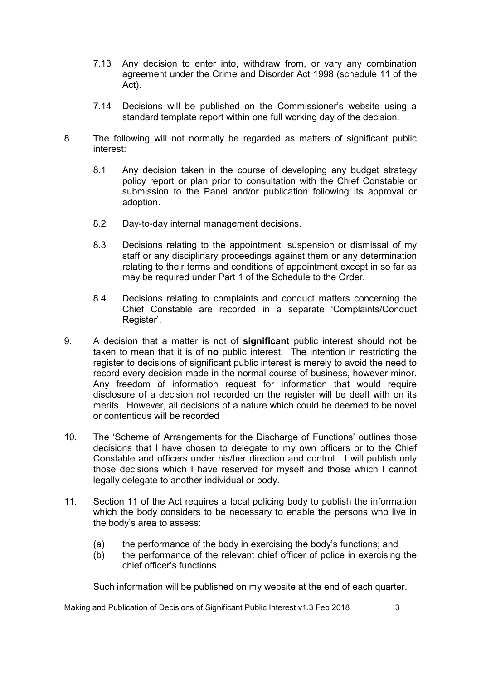- 7.13 Any decision to enter into, withdraw from, or vary any combination agreement under the Crime and Disorder Act 1998 (schedule 11 of the Act).
- 7.14 Decisions will be published on the Commissioner's website using a standard template report within one full working day of the decision.
- 8. The following will not normally be regarded as matters of significant public interest:
	- 8.1 Any decision taken in the course of developing any budget strategy policy report or plan prior to consultation with the Chief Constable or submission to the Panel and/or publication following its approval or adoption.
	- 8.2 Day-to-day internal management decisions.
	- 8.3 Decisions relating to the appointment, suspension or dismissal of my staff or any disciplinary proceedings against them or any determination relating to their terms and conditions of appointment except in so far as may be required under Part 1 of the Schedule to the Order.
	- 8.4 Decisions relating to complaints and conduct matters concerning the Chief Constable are recorded in a separate 'Complaints/Conduct Register'.
- 9. A decision that a matter is not of **significant** public interest should not be taken to mean that it is of **no** public interest. The intention in restricting the register to decisions of significant public interest is merely to avoid the need to record every decision made in the normal course of business, however minor. Any freedom of information request for information that would require disclosure of a decision not recorded on the register will be dealt with on its merits. However, all decisions of a nature which could be deemed to be novel or contentious will be recorded
- 10. The 'Scheme of Arrangements for the Discharge of Functions' outlines those decisions that I have chosen to delegate to my own officers or to the Chief Constable and officers under his/her direction and control. I will publish only those decisions which I have reserved for myself and those which I cannot legally delegate to another individual or body.
- 11. Section 11 of the Act requires a local policing body to publish the information which the body considers to be necessary to enable the persons who live in the body's area to assess:
	- (a) the performance of the body in exercising the body's functions; and
	- (b) the performance of the relevant chief officer of police in exercising the chief officer's functions.

Such information will be published on my website at the end of each quarter.

Making and Publication of Decisions of Significant Public Interest v1.3 Feb 2018 3